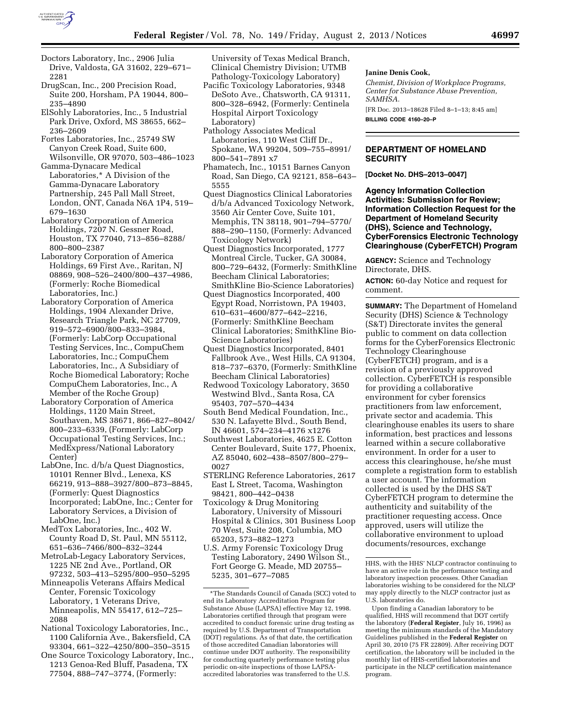

- Doctors Laboratory, Inc., 2906 Julia Drive, Valdosta, GA 31602, 229–671– 2281
- DrugScan, Inc., 200 Precision Road, Suite 200, Horsham, PA 19044, 800– 235–4890
- ElSohly Laboratories, Inc., 5 Industrial Park Drive, Oxford, MS 38655, 662– 236–2609
- Fortes Laboratories, Inc., 25749 SW Canyon Creek Road, Suite 600, Wilsonville, OR 97070, 503–486–1023
- Gamma-Dynacare Medical Laboratories,\* A Division of the Gamma-Dynacare Laboratory Partnership, 245 Pall Mall Street, London, ONT, Canada N6A 1P4, 519– 679–1630
- Laboratory Corporation of America Holdings, 7207 N. Gessner Road, Houston, TX 77040, 713–856–8288/ 800–800–2387
- Laboratory Corporation of America Holdings, 69 First Ave., Raritan, NJ 08869, 908–526–2400/800–437–4986, (Formerly: Roche Biomedical Laboratories, Inc.)
- Laboratory Corporation of America Holdings, 1904 Alexander Drive, Research Triangle Park, NC 27709, 919–572–6900/800–833–3984, (Formerly: LabCorp Occupational Testing Services, Inc., CompuChem Laboratories, Inc.; CompuChem Laboratories, Inc., A Subsidiary of Roche Biomedical Laboratory; Roche CompuChem Laboratories, Inc., A Member of the Roche Group)
- Laboratory Corporation of America Holdings, 1120 Main Street, Southaven, MS 38671, 866–827–8042/ 800–233–6339, (Formerly: LabCorp Occupational Testing Services, Inc.; MedExpress/National Laboratory Center)
- LabOne, Inc. d/b/a Quest Diagnostics, 10101 Renner Blvd., Lenexa, KS 66219, 913–888–3927/800–873–8845, (Formerly: Quest Diagnostics Incorporated; LabOne, Inc.; Center for Laboratory Services, a Division of LabOne, Inc.)
- MedTox Laboratories, Inc., 402 W. County Road D, St. Paul, MN 55112, 651–636–7466/800–832–3244
- MetroLab-Legacy Laboratory Services, 1225 NE 2nd Ave., Portland, OR 97232, 503–413–5295/800–950–5295
- Minneapolis Veterans Affairs Medical Center, Forensic Toxicology Laboratory, 1 Veterans Drive, Minneapolis, MN 55417, 612–725– 2088
- National Toxicology Laboratories, Inc., 1100 California Ave., Bakersfield, CA 93304, 661–322–4250/800–350–3515
- One Source Toxicology Laboratory, Inc., 1213 Genoa-Red Bluff, Pasadena, TX 77504, 888–747–3774, (Formerly:

University of Texas Medical Branch, Clinical Chemistry Division; UTMB Pathology-Toxicology Laboratory)

- Pacific Toxicology Laboratories, 9348 DeSoto Ave., Chatsworth, CA 91311, 800–328–6942, (Formerly: Centinela Hospital Airport Toxicology Laboratory)
- Pathology Associates Medical Laboratories, 110 West Cliff Dr., Spokane, WA 99204, 509–755–8991/ 800–541–7891 x7
- Phamatech, Inc., 10151 Barnes Canyon Road, San Diego, CA 92121, 858–643– 5555
- Quest Diagnostics Clinical Laboratories d/b/a Advanced Toxicology Network, 3560 Air Center Cove, Suite 101, Memphis, TN 38118, 901–794–5770/ 888–290–1150, (Formerly: Advanced Toxicology Network)
- Quest Diagnostics Incorporated, 1777 Montreal Circle, Tucker, GA 30084, 800–729–6432, (Formerly: SmithKline Beecham Clinical Laboratories; SmithKline Bio-Science Laboratories)
- Quest Diagnostics Incorporated, 400 Egypt Road, Norristown, PA 19403, 610–631–4600/877–642–2216, (Formerly: SmithKline Beecham Clinical Laboratories; SmithKline Bio-Science Laboratories)
- Quest Diagnostics Incorporated, 8401 Fallbrook Ave., West Hills, CA 91304, 818–737–6370, (Formerly: SmithKline Beecham Clinical Laboratories)
- Redwood Toxicology Laboratory, 3650 Westwind Blvd., Santa Rosa, CA 95403, 707–570–4434
- South Bend Medical Foundation, Inc., 530 N. Lafayette Blvd., South Bend, IN 46601, 574–234–4176 x1276
- Southwest Laboratories, 4625 E. Cotton Center Boulevard, Suite 177, Phoenix, AZ 85040, 602–438–8507/800–279– 0027
- STERLING Reference Laboratories, 2617 East L Street, Tacoma, Washington 98421, 800–442–0438
- Toxicology & Drug Monitoring Laboratory, University of Missouri Hospital & Clinics, 301 Business Loop 70 West, Suite 208, Columbia, MO 65203, 573–882–1273
- U.S. Army Forensic Toxicology Drug Testing Laboratory, 2490 Wilson St., Fort George G. Meade, MD 20755– 5235, 301–677–7085

#### **Janine Denis Cook,**

*Chemist, Division of Workplace Programs, Center for Substance Abuse Prevention, SAMHSA.*  [FR Doc. 2013–18628 Filed 8–1–13; 8:45 am]

**BILLING CODE 4160–20–P** 

## **DEPARTMENT OF HOMELAND SECURITY**

**[Docket No. DHS–2013–0047]** 

**Agency Information Collection Activities: Submission for Review; Information Collection Request for the Department of Homeland Security (DHS), Science and Technology, CyberForensics Electronic Technology Clearinghouse (CyberFETCH) Program** 

**AGENCY:** Science and Technology Directorate, DHS.

**ACTION:** 60-day Notice and request for comment.

**SUMMARY:** The Department of Homeland Security (DHS) Science & Technology (S&T) Directorate invites the general public to comment on data collection forms for the CyberForensics Electronic Technology Clearinghouse (CyberFETCH) program, and is a revision of a previously approved collection. CyberFETCH is responsible for providing a collaborative environment for cyber forensics practitioners from law enforcement, private sector and academia. This clearinghouse enables its users to share information, best practices and lessons learned within a secure collaborative environment. In order for a user to access this clearinghouse, he/she must complete a registration form to establish a user account. The information collected is used by the DHS S&T CyberFETCH program to determine the authenticity and suitability of the practitioner requesting access. Once approved, users will utilize the collaborative environment to upload documents/resources, exchange

<sup>\*</sup>The Standards Council of Canada (SCC) voted to end its Laboratory Accreditation Program for Substance Abuse (LAPSA) effective May 12, 1998. Laboratories certified through that program were accredited to conduct forensic urine drug testing as required by U.S. Department of Transportation (DOT) regulations. As of that date, the certification of those accredited Canadian laboratories will continue under DOT authority. The responsibility for conducting quarterly performance testing plus periodic on-site inspections of those LAPSAaccredited laboratories was transferred to the U.S.

HHS, with the HHS' NLCP contractor continuing to have an active role in the performance testing and laboratory inspection processes. Other Canadian laboratories wishing to be considered for the NLCP may apply directly to the NLCP contractor just as U.S. laboratories do.

Upon finding a Canadian laboratory to be qualified, HHS will recommend that DOT certify the laboratory (**Federal Register**, July 16, 1996) as meeting the minimum standards of the Mandatory Guidelines published in the **Federal Register** on April 30, 2010 (75 FR 22809). After receiving DOT certification, the laboratory will be included in the monthly list of HHS-certified laboratories and participate in the NLCP certification maintenance program.